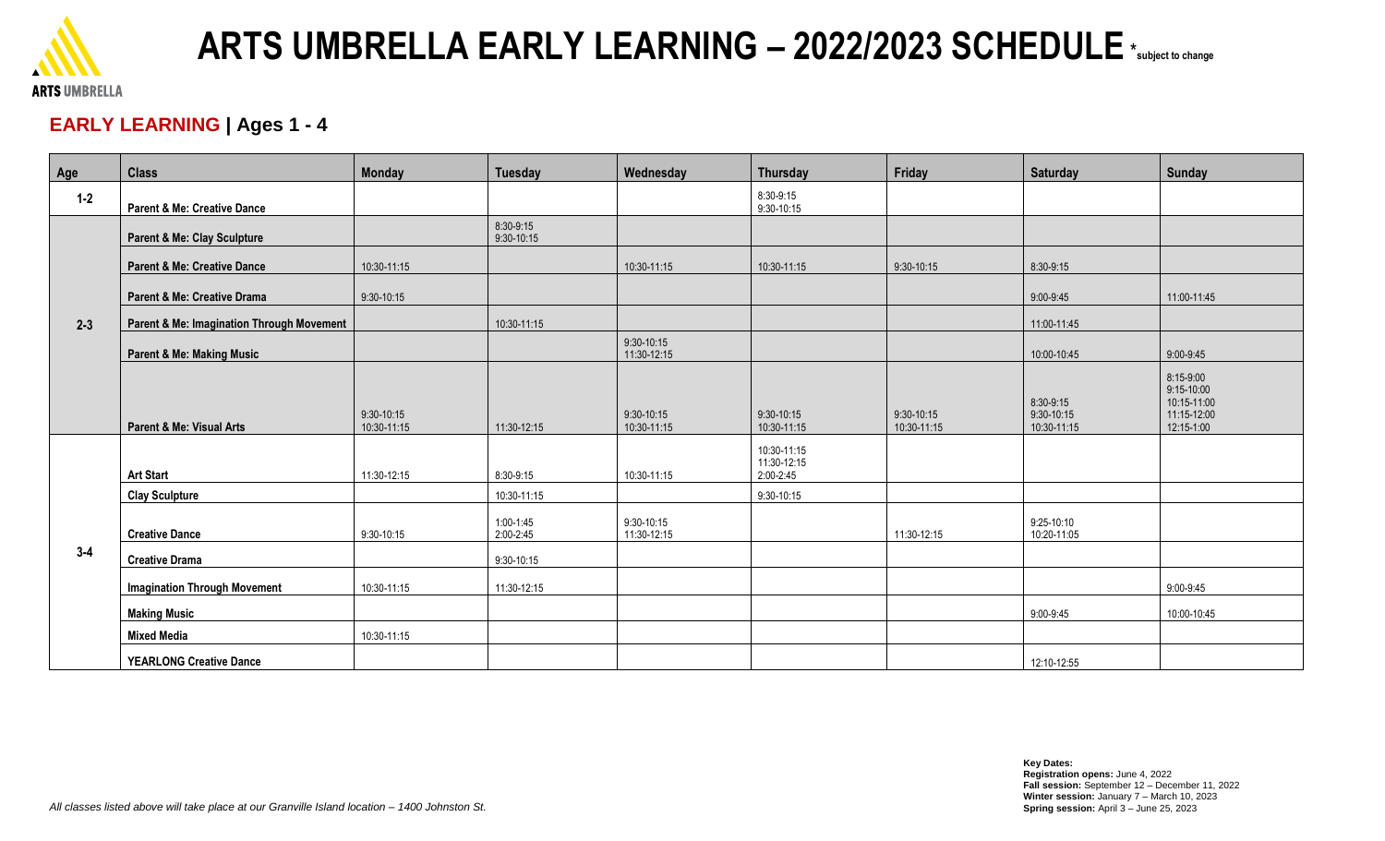

# **ARTS UMBRELLA EARLY LEARNING – 2022/2023 SCHEDULE** \*subject to change

### **EARLY LEARNING | Ages 1 - 4**

| Age     | <b>Class</b>                              | <b>Monday</b>               | <b>Tuesday</b>              | Wednesday                     | <b>Thursday</b>                         | Friday                      | <b>Saturday</b>                        | <b>Sunday</b>                                                       |
|---------|-------------------------------------------|-----------------------------|-----------------------------|-------------------------------|-----------------------------------------|-----------------------------|----------------------------------------|---------------------------------------------------------------------|
| $1 - 2$ | <b>Parent &amp; Me: Creative Dance</b>    |                             |                             |                               | 8:30-9:15<br>9:30-10:15                 |                             |                                        |                                                                     |
| $2 - 3$ | Parent & Me: Clay Sculpture               |                             | 8:30-9:15<br>$9:30 - 10:15$ |                               |                                         |                             |                                        |                                                                     |
|         | <b>Parent &amp; Me: Creative Dance</b>    | 10:30-11:15                 |                             | 10:30-11:15                   | 10:30-11:15                             | $9:30-10:15$                | 8:30-9:15                              |                                                                     |
|         | Parent & Me: Creative Drama               | $9:30-10:15$                |                             |                               |                                         |                             | 9:00-9:45                              | 11:00-11:45                                                         |
|         | Parent & Me: Imagination Through Movement |                             | 10:30-11:15                 |                               |                                         |                             | 11:00-11:45                            |                                                                     |
|         | <b>Parent &amp; Me: Making Music</b>      |                             |                             | $9:30 - 10:15$<br>11:30-12:15 |                                         |                             | 10:00-10:45                            | 9:00-9:45                                                           |
|         | <b>Parent &amp; Me: Visual Arts</b>       | $9:30-10:15$<br>10:30-11:15 | 11:30-12:15                 | $9:30-10:15$<br>10:30-11:15   | 9:30-10:15<br>10:30-11:15               | $9:30-10:15$<br>10:30-11:15 | 8:30-9:15<br>9:30-10:15<br>10:30-11:15 | 8:15-9:00<br>9:15-10:00<br>10:15-11:00<br>11:15-12:00<br>12:15-1:00 |
| $3 - 4$ | <b>Art Start</b>                          | 11:30-12:15                 | 8:30-9:15                   | 10:30-11:15                   | 10:30-11:15<br>11:30-12:15<br>2:00-2:45 |                             |                                        |                                                                     |
|         | <b>Clay Sculpture</b>                     |                             | 10:30-11:15                 |                               | 9:30-10:15                              |                             |                                        |                                                                     |
|         | <b>Creative Dance</b>                     | $9:30 - 10:15$              | $1:00-1:45$<br>2:00-2:45    | 9:30-10:15<br>11:30-12:15     |                                         | 11:30-12:15                 | 9:25-10:10<br>10:20-11:05              |                                                                     |
|         | <b>Creative Drama</b>                     |                             | 9:30-10:15                  |                               |                                         |                             |                                        |                                                                     |
|         | <b>Imagination Through Movement</b>       | 10:30-11:15                 | 11:30-12:15                 |                               |                                         |                             |                                        | 9:00-9:45                                                           |
|         | <b>Making Music</b>                       |                             |                             |                               |                                         |                             | 9:00-9:45                              | 10:00-10:45                                                         |
|         | <b>Mixed Media</b>                        | 10:30-11:15                 |                             |                               |                                         |                             |                                        |                                                                     |
|         | <b>YEARLONG Creative Dance</b>            |                             |                             |                               |                                         |                             | 12:10-12:55                            |                                                                     |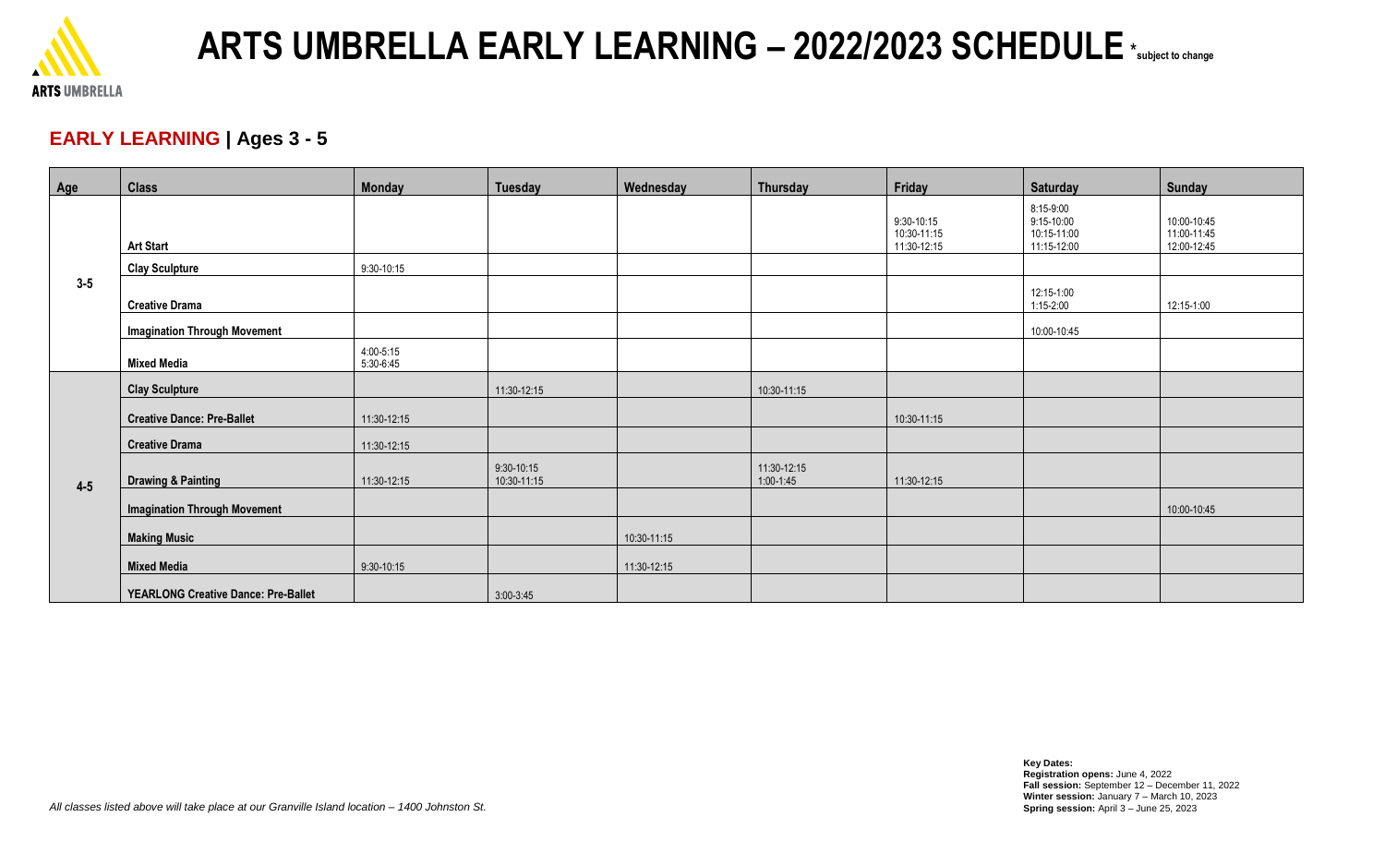

# **ARTS UMBRELLA EARLY LEARNING – 2022/2023 SCHEDULE** \*subject to change

#### **EARLY LEARNING | Ages 3 - 5**

| Age     | <b>Class</b>                               | <b>Monday</b>          | <b>Tuesday</b>            | Wednesday   | Thursday                     | Friday                                   | <b>Saturday</b>                                       | <b>Sunday</b>                             |
|---------|--------------------------------------------|------------------------|---------------------------|-------------|------------------------------|------------------------------------------|-------------------------------------------------------|-------------------------------------------|
| $3 - 5$ | <b>Art Start</b>                           |                        |                           |             |                              | 9:30-10:15<br>10:30-11:15<br>11:30-12:15 | 8:15-9:00<br>9:15-10:00<br>10:15-11:00<br>11:15-12:00 | 10:00-10:45<br>11:00-11:45<br>12:00-12:45 |
|         | <b>Clay Sculpture</b>                      | 9:30-10:15             |                           |             |                              |                                          |                                                       |                                           |
|         | <b>Creative Drama</b>                      |                        |                           |             |                              |                                          | 12:15-1:00<br>$1:15 - 2:00$                           | 12:15-1:00                                |
|         | <b>Imagination Through Movement</b>        |                        |                           |             |                              |                                          | 10:00-10:45                                           |                                           |
|         | <b>Mixed Media</b>                         | 4:00-5:15<br>5:30-6:45 |                           |             |                              |                                          |                                                       |                                           |
| $4 - 5$ | <b>Clay Sculpture</b>                      |                        | 11:30-12:15               |             | 10:30-11:15                  |                                          |                                                       |                                           |
|         | <b>Creative Dance: Pre-Ballet</b>          | 11:30-12:15            |                           |             |                              | 10:30-11:15                              |                                                       |                                           |
|         | <b>Creative Drama</b>                      | 11:30-12:15            |                           |             |                              |                                          |                                                       |                                           |
|         | <b>Drawing &amp; Painting</b>              | 11:30-12:15            | 9:30-10:15<br>10:30-11:15 |             | 11:30-12:15<br>$1:00 - 1:45$ | 11:30-12:15                              |                                                       |                                           |
|         | <b>Imagination Through Movement</b>        |                        |                           |             |                              |                                          |                                                       | 10:00-10:45                               |
|         | <b>Making Music</b>                        |                        |                           | 10:30-11:15 |                              |                                          |                                                       |                                           |
|         | <b>Mixed Media</b>                         | 9:30-10:15             |                           | 11:30-12:15 |                              |                                          |                                                       |                                           |
|         | <b>YEARLONG Creative Dance: Pre-Ballet</b> |                        | $3:00-3:45$               |             |                              |                                          |                                                       |                                           |